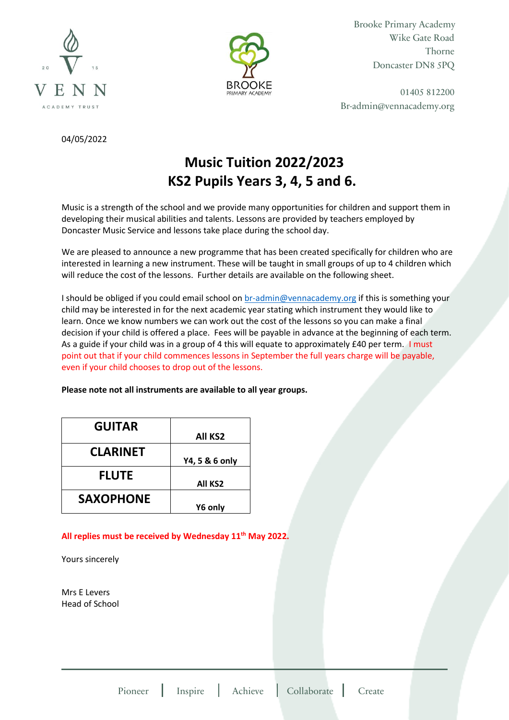



Brooke Primary Academy Wike Gate Road Thorne Doncaster DN8 5PQ

01405 812200 Br-admin@vennacademy.org

04/05/2022

# **Music Tuition 2022/2023 KS2 Pupils Years 3, 4, 5 and 6.**

Music is a strength of the school and we provide many opportunities for children and support them in developing their musical abilities and talents. Lessons are provided by teachers employed by Doncaster Music Service and lessons take place during the school day.

We are pleased to announce a new programme that has been created specifically for children who are interested in learning a new instrument. These will be taught in small groups of up to 4 children which will reduce the cost of the lessons. Further details are available on the following sheet.

I should be obliged if you could email school on [br-admin@vennacademy.org](mailto:br-admin@vennacademy.org) if this is something your child may be interested in for the next academic year stating which instrument they would like to learn. Once we know numbers we can work out the cost of the lessons so you can make a final decision if your child is offered a place. Fees will be payable in advance at the beginning of each term. As a guide if your child was in a group of 4 this will equate to approximately £40 per term. I must point out that if your child commences lessons in September the full years charge will be payable, even if your child chooses to drop out of the lessons.

### **Please note not all instruments are available to all year groups.**

| <b>GUITAR</b>    |                     |
|------------------|---------------------|
|                  | All KS <sub>2</sub> |
| <b>CLARINET</b>  |                     |
|                  | Y4, 5 & 6 only      |
| <b>FLUTE</b>     |                     |
|                  | <b>All KS2</b>      |
| <b>SAXOPHONE</b> |                     |
|                  | Y6 only             |

### **All replies must be received by Wednesday 11th May 2022.**

Yours sincerely

Mrs E Levers Head of School